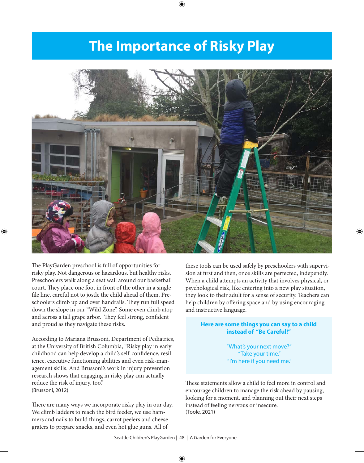## **The Importance of Risky Play**



The PlayGarden preschool is full of opportunities for risky play. Not dangerous or hazardous, but healthy risks. Preschoolers walk along a seat wall around our basketball court. They place one foot in front of the other in a single file line, careful not to jostle the child ahead of them. Preschoolers climb up and over handrails. They run full speed down the slope in our "Wild Zone". Some even climb atop and across a tall grape arbor. They feel strong, confident and proud as they navigate these risks.

According to Mariana Brussoni, Department of Pediatrics, at the University of British Columbia, "Risky play in early childhood can help develop a child's self-confidence, resilience, executive functioning abilities and even risk-management skills. And Brussoni's work in injury prevention research shows that engaging in risky play can actually reduce the risk of injury, too." (Brussoni, 2012)

There are many ways we incorporate risky play in our day. We climb ladders to reach the bird feeder, we use hammers and nails to build things, carrot peelers and cheese graters to prepare snacks, and even hot glue guns. All of

these tools can be used safely by preschoolers with supervision at first and then, once skills are perfected, independly. When a child attempts an activity that involves physical, or psychological risk, like entering into a new play situation, they look to their adult for a sense of security. Teachers can help children by offering space and by using encouraging and instructive language.

## **Here are some things you can say to a child instead of "Be Careful!"**

"What's your next move?" "Take your time." "I'm here if you need me."

These statements allow a child to feel more in control and encourage children to manage the risk ahead by pausing, looking for a moment, and planning out their next steps instead of feeling nervous or insecure. (Toole, 2021)